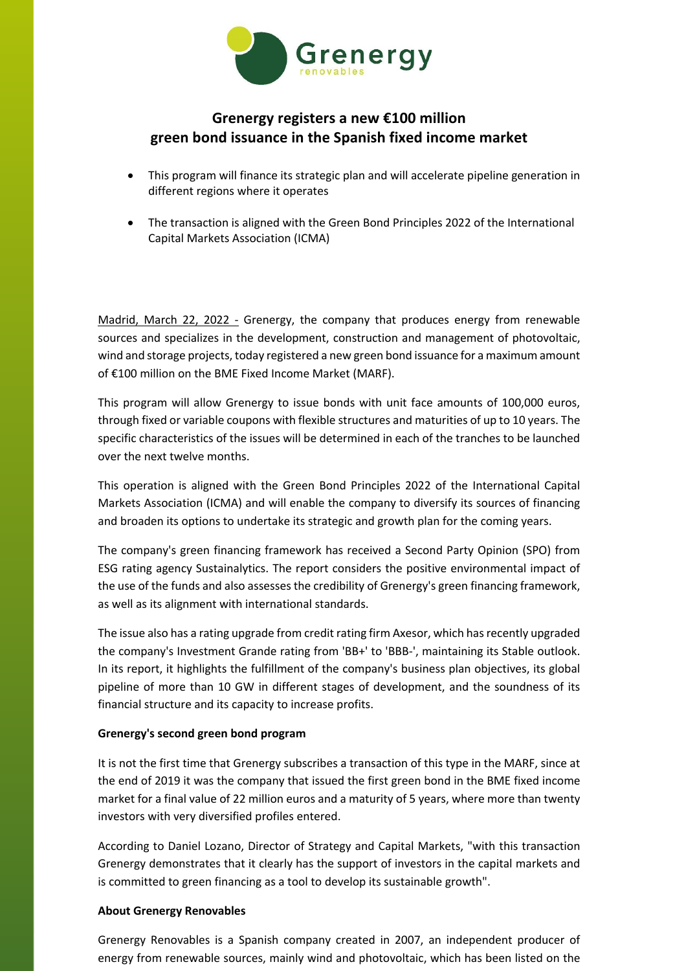

## **Grenergy registers a new €100 million green bond issuance in the Spanish fixed income market**

- This program will finance its strategic plan and will accelerate pipeline generation in different regions where it operates
- The transaction is aligned with the Green Bond Principles 2022 of the International Capital Markets Association (ICMA)

Madrid, March 22, 2022 - Grenergy, the company that produces energy from renewable sources and specializes in the development, construction and management of photovoltaic, wind and storage projects, today registered a new green bond issuance for a maximum amount of €100 million on the BME Fixed Income Market (MARF).

This program will allow Grenergy to issue bonds with unit face amounts of 100,000 euros, through fixed or variable coupons with flexible structures and maturities of up to 10 years. The specific characteristics of the issues will be determined in each of the tranches to be launched over the next twelve months.

This operation is aligned with the Green Bond Principles 2022 of the International Capital Markets Association (ICMA) and will enable the company to diversify its sources of financing and broaden its options to undertake its strategic and growth plan for the coming years.

The company's green financing framework has received a Second Party Opinion (SPO) from ESG rating agency Sustainalytics. The report considers the positive environmental impact of the use of the funds and also assesses the credibility of Grenergy's green financing framework, as well as its alignment with international standards.

The issue also has a rating upgrade from credit rating firm Axesor, which has recently upgraded the company's Investment Grande rating from 'BB+' to 'BBB-', maintaining its Stable outlook. In its report, it highlights the fulfillment of the company's business plan objectives, its global pipeline of more than 10 GW in different stages of development, and the soundness of its financial structure and its capacity to increase profits.

## **Grenergy's second green bond program**

It is not the first time that Grenergy subscribes a transaction of this type in the MARF, since at the end of 2019 it was the company that issued the first green bond in the BME fixed income market for a final value of 22 million euros and a maturity of 5 years, where more than twenty investors with very diversified profiles entered.

According to Daniel Lozano, Director of Strategy and Capital Markets, "with this transaction Grenergy demonstrates that it clearly has the support of investors in the capital markets and is committed to green financing as a tool to develop its sustainable growth".

## **About Grenergy Renovables**

Grenergy Renovables is a Spanish company created in 2007, an independent producer of energy from renewable sources, mainly wind and photovoltaic, which has been listed on the